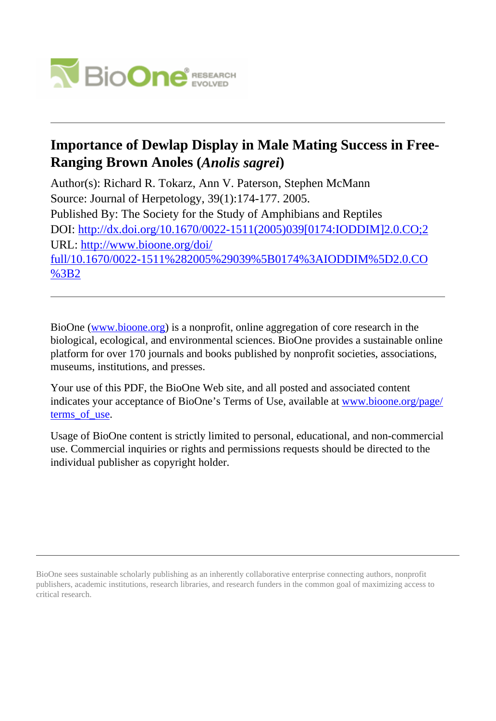

# **Importance of Dewlap Display in Male Mating Success in Free-Ranging Brown Anoles (***Anolis sagrei***)**

Author(s): Richard R. Tokarz, Ann V. Paterson, Stephen McMann Source: Journal of Herpetology, 39(1):174-177. 2005. Published By: The Society for the Study of Amphibians and Reptiles DOI: [http://dx.doi.org/10.1670/0022-1511\(2005\)039\[0174:IODDIM\]2.0.CO;2](http://dx.doi.org/10.1670/0022-1511(2005)039[0174:IODDIM]2.0.CO;2) URL: [http://www.bioone.org/doi/](http://www.bioone.org/doi/full/10.1670/0022-1511%282005%29039%5B0174%3AIODDIM%5D2.0.CO%3B2) [full/10.1670/0022-1511%282005%29039%5B0174%3AIODDIM%5D2.0.CO](http://www.bioone.org/doi/full/10.1670/0022-1511%282005%29039%5B0174%3AIODDIM%5D2.0.CO%3B2) [%3B2](http://www.bioone.org/doi/full/10.1670/0022-1511%282005%29039%5B0174%3AIODDIM%5D2.0.CO%3B2)

BioOne [\(www.bioone.org\)](http://www.bioone.org) is a nonprofit, online aggregation of core research in the biological, ecological, and environmental sciences. BioOne provides a sustainable online platform for over 170 journals and books published by nonprofit societies, associations, museums, institutions, and presses.

Your use of this PDF, the BioOne Web site, and all posted and associated content indicates your acceptance of BioOne's Terms of Use, available at [www.bioone.org/page/](http://www.bioone.org/page/terms_of_use) [terms\\_of\\_use.](http://www.bioone.org/page/terms_of_use)

Usage of BioOne content is strictly limited to personal, educational, and non-commercial use. Commercial inquiries or rights and permissions requests should be directed to the individual publisher as copyright holder.

BioOne sees sustainable scholarly publishing as an inherently collaborative enterprise connecting authors, nonprofit publishers, academic institutions, research libraries, and research funders in the common goal of maximizing access to critical research.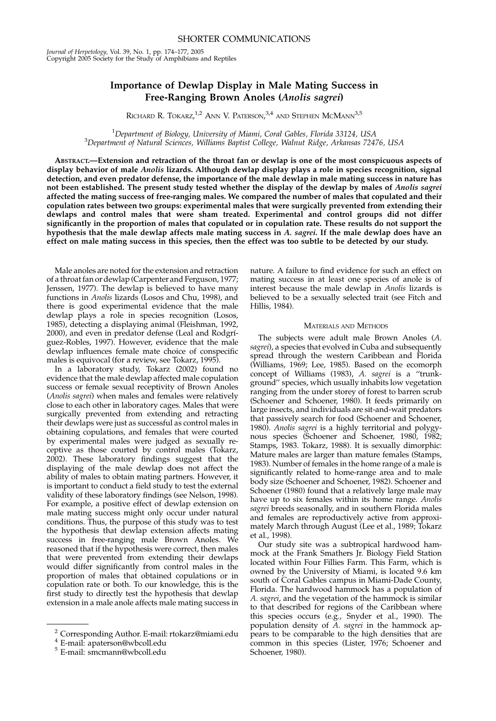Journal of Herpetology, Vol. 39, No. 1, pp. 174–177, 2005 Copyright 2005 Society for the Study of Amphibians and Reptiles

# Importance of Dewlap Display in Male Mating Success in Free-Ranging Brown Anoles (Anolis sagrei)

RICHARD R. TOKARZ,<sup>1,2</sup> Ann V. Paterson,<sup>3,4</sup> and Stephen McMann<sup>3,5</sup>

# <sup>1</sup> Department of Biology, University of Miami, Coral Gables, Florida 33124, USA<br><sup>3</sup> Department of Natural Sciences, Williams Baptict College, Walnut Ridge, Arkanses 724 <sup>3</sup>Department of Natural Sciences, Williams Baptist College, Walnut Ridge, Arkansas 72476, USA

ABSTRACT.—Extension and retraction of the throat fan or dewlap is one of the most conspicuous aspects of display behavior of male Anolis lizards. Although dewlap display plays a role in species recognition, signal detection, and even predator defense, the importance of the male dewlap in male mating success in nature has not been established. The present study tested whether the display of the dewlap by males of Anolis sagrei affected the mating success of free-ranging males. We compared the number of males that copulated and their copulation rates between two groups: experimental males that were surgically prevented from extending their dewlaps and control males that were sham treated. Experimental and control groups did not differ significantly in the proportion of males that copulated or in copulation rate. These results do not support the hypothesis that the male dewlap affects male mating success in A. sagrei. If the male dewlap does have an effect on male mating success in this species, then the effect was too subtle to be detected by our study.

Male anoles are noted for the extension and retraction of a throat fan or dewlap (Carpenter and Ferguson, 1977; Jenssen, 1977). The dewlap is believed to have many functions in Anolis lizards (Losos and Chu, 1998), and there is good experimental evidence that the male dewlap plays a role in species recognition (Losos, 1985), detecting a displaying animal (Fleishman, 1992, 2000), and even in predator defense (Leal and Rodgríguez-Robles, 1997). However, evidence that the male dewlap influences female mate choice of conspecific males is equivocal (for a review, see Tokarz, 1995).

In a laboratory study, Tokarz (2002) found no evidence that the male dewlap affected male copulation success or female sexual receptivity of Brown Anoles (Anolis sagrei) when males and females were relatively close to each other in laboratory cages. Males that were surgically prevented from extending and retracting their dewlaps were just as successful as control males in obtaining copulations, and females that were courted by experimental males were judged as sexually receptive as those courted by control males (Tokarz, 2002). These laboratory findings suggest that the displaying of the male dewlap does not affect the ability of males to obtain mating partners. However, it is important to conduct a field study to test the external validity of these laboratory findings (see Nelson, 1998). For example, a positive effect of dewlap extension on male mating success might only occur under natural conditions. Thus, the purpose of this study was to test the hypothesis that dewlap extension affects mating success in free-ranging male Brown Anoles. We reasoned that if the hypothesis were correct, then males that were prevented from extending their dewlaps would differ significantly from control males in the proportion of males that obtained copulations or in copulation rate or both. To our knowledge, this is the first study to directly test the hypothesis that dewlap extension in a male anole affects male mating success in

nature. A failure to find evidence for such an effect on mating success in at least one species of anole is of interest because the male dewlap in Anolis lizards is believed to be a sexually selected trait (see Fitch and Hillis, 1984).

#### MATERIALS AND METHODS

The subjects were adult male Brown Anoles (A. sagrei), a species that evolved in Cuba and subsequently spread through the western Caribbean and Florida (Williams, 1969; Lee, 1985). Based on the ecomorph concept of Williams (1983), A. sagrei is a ''trunkground'' species, which usually inhabits low vegetation ranging from the under storey of forest to barren scrub (Schoener and Schoener, 1980). It feeds primarily on large insects, and individuals are sit-and-wait predators that passively search for food (Schoener and Schoener, 1980). Anolis sagrei is a highly territorial and polygynous species (Schoener and Schoener, 1980, 1982; Stamps, 1983. Tokarz, 1988). It is sexually dimorphic: Mature males are larger than mature females (Stamps, 1983). Number of females in the home range of a male is significantly related to home-range area and to male body size (Schoener and Schoener, 1982). Schoener and Schoener (1980) found that a relatively large male may have up to six females within its home range. Anolis sagrei breeds seasonally, and in southern Florida males and females are reproductively active from approximately March through August (Lee et al., 1989; Tokarz et al., 1998).

Our study site was a subtropical hardwood hammock at the Frank Smathers Jr. Biology Field Station located within Four Fillies Farm. This Farm, which is owned by the University of Miami, is located 9.6 km south of Coral Gables campus in Miami-Dade County, Florida. The hardwood hammock has a population of A. sagrei, and the vegetation of the hammock is similar to that described for regions of the Caribbean where this species occurs (e.g., Snyder et al., 1990). The population density of A. sagrei in the hammock appears to be comparable to the high densities that are common in this species (Lister, 1976; Schoener and Schoener, 1980).

<sup>&</sup>lt;sup>2</sup> Corresponding Author. E-mail: rtokarz@miami.edu  $^4$  E-mail: apaterson@wbcoll.edu 5 F-mail: smcmann@wbcoll.edu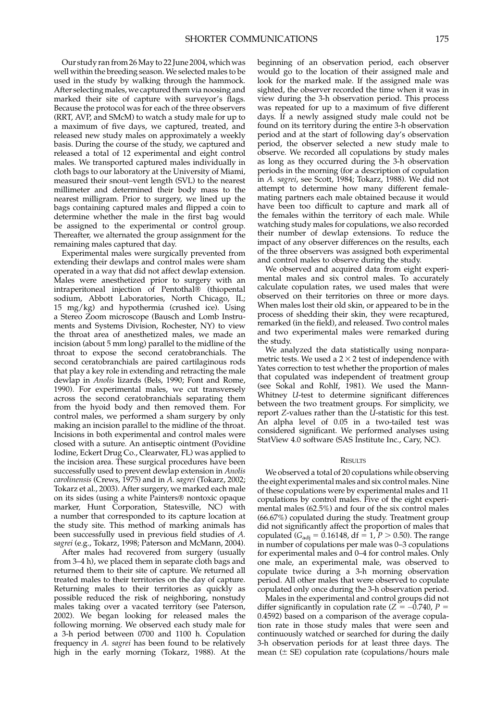Our study ran from 26 May to 22 June 2004, which was well within the breeding season. We selected males to be used in the study by walking through the hammock. After selecting males, we captured them via noosing and marked their site of capture with surveyor's flags. Because the protocol was for each of the three observers (RRT, AVP, and SMcM) to watch a study male for up to a maximum of five days, we captured, treated, and released new study males on approximately a weekly basis. During the course of the study, we captured and released a total of 12 experimental and eight control males. We transported captured males individually in cloth bags to our laboratory at the University of Miami, measured their snout–vent length (SVL) to the nearest millimeter and determined their body mass to the nearest milligram. Prior to surgery, we lined up the bags containing captured males and flipped a coin to determine whether the male in the first bag would be assigned to the experimental or control group. Thereafter, we alternated the group assignment for the remaining males captured that day.

Experimental males were surgically prevented from extending their dewlaps and control males were sham operated in a way that did not affect dewlap extension. Males were anesthetized prior to surgery with an intraperitoneal injection of Pentothal® (thiopental sodium, Abbott Laboratories, North Chicago, IL; 15 mg/kg) and hypothermia (crushed ice). Using a Stereo Zoom microscope (Bausch and Lomb Instruments and Systems Division, Rochester, NY) to view the throat area of anesthetized males, we made an incision (about 5 mm long) parallel to the midline of the throat to expose the second ceratobranchials. The second ceratobranchials are paired cartilaginous rods that play a key role in extending and retracting the male dewlap in Anolis lizards (Bels, 1990; Font and Rome, 1990). For experimental males, we cut transversely across the second ceratobranchials separating them from the hyoid body and then removed them. For control males, we performed a sham surgery by only making an incision parallel to the midline of the throat. Incisions in both experimental and control males were closed with a suture. An antiseptic ointment (Povidine Iodine, Eckert Drug Co., Clearwater, FL) was applied to the incision area. These surgical procedures have been successfully used to prevent dewlap extension in Anolis carolinensis (Crews, 1975) and in A. sagrei (Tokarz, 2002; Tokarz et al., 2003). After surgery, we marked each male on its sides (using a white Painters<sup>®</sup> nontoxic opaque marker, Hunt Corporation, Statesville, NC) with a number that corresponded to its capture location at the study site. This method of marking animals has been successfully used in previous field studies of A. sagrei (e.g., Tokarz, 1998; Paterson and McMann, 2004).

After males had recovered from surgery (usually from 3–4 h), we placed them in separate cloth bags and returned them to their site of capture. We returned all treated males to their territories on the day of capture. Returning males to their territories as quickly as possible reduced the risk of neighboring, nonstudy males taking over a vacated territory (see Paterson, 2002). We began looking for released males the following morning. We observed each study male for a 3-h period between 0700 and 1100 h. Copulation frequency in A. sagrei has been found to be relatively high in the early morning (Tokarz, 1988). At the beginning of an observation period, each observer would go to the location of their assigned male and look for the marked male. If the assigned male was sighted, the observer recorded the time when it was in view during the 3-h observation period. This process was repeated for up to a maximum of five different days. If a newly assigned study male could not be found on its territory during the entire 3-h observation period and at the start of following day's observation period, the observer selected a new study male to observe. We recorded all copulations by study males as long as they occurred during the 3-h observation periods in the morning (for a description of copulation in A. sagrei, see Scott, 1984; Tokarz, 1988). We did not attempt to determine how many different femalemating partners each male obtained because it would have been too difficult to capture and mark all of the females within the territory of each male. While watching study males for copulations, we also recorded their number of dewlap extensions. To reduce the impact of any observer differences on the results, each of the three observers was assigned both experimental and control males to observe during the study.

We observed and acquired data from eight experimental males and six control males. To accurately calculate copulation rates, we used males that were observed on their territories on three or more days. When males lost their old skin, or appeared to be in the process of shedding their skin, they were recaptured, remarked (in the field), and released. Two control males and two experimental males were remarked during the study.

We analyzed the data statistically using nonparametric tests. We used a  $2 \times 2$  test of independence with Yates correction to test whether the proportion of males that copulated was independent of treatment group (see Sokal and Rohlf, 1981). We used the Mann-Whitney U-test to determine significant differences between the two treatment groups. For simplicity, we report Z-values rather than the U-statistic for this test. An alpha level of 0.05 in a two-tailed test was considered significant. We performed analyses using StatView 4.0 software (SAS Institute Inc., Cary, NC).

## **RESULTS**

We observed a total of 20 copulations while observing the eight experimental males and six control males. Nine of these copulations were by experimental males and 11 copulations by control males. Five of the eight experimental males (62.5%) and four of the six control males (66.67%) copulated during the study. Treatment group did not significantly affect the proportion of males that copulated  $(G_{\text{adj}} = 0.16148, df = 1, P > 0.50)$ . The range in number of copulations per male was 0–3 copulations for experimental males and 0–4 for control males. Only one male, an experimental male, was observed to copulate twice during a 3-h morning observation period. All other males that were observed to copulate copulated only once during the 3-h observation period.

Males in the experimental and control groups did not differ significantly in copulation rate ( $Z = -0.740$ ,  $P =$ 0.4592) based on a comparison of the average copulation rate in those study males that were seen and continuously watched or searched for during the daily 3-h observation periods for at least three days. The mean  $(\pm$  SE) copulation rate (copulations/hours male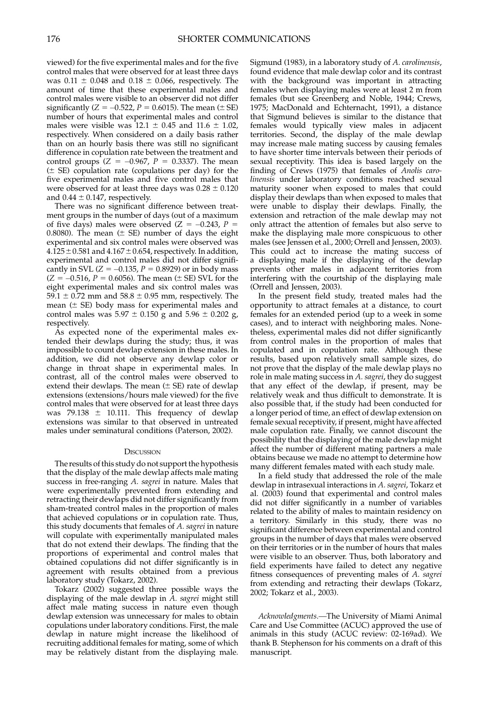viewed) for the five experimental males and for the five control males that were observed for at least three days was  $0.11 \pm 0.048$  and  $0.18 \pm 0.066$ , respectively. The amount of time that these experimental males and control males were visible to an observer did not differ significantly ( $Z = -0.522$ ,  $P = 0.6015$ ). The mean ( $\pm$  SE) number of hours that experimental males and control males were visible was  $12.1 \pm 0.45$  and  $11.6 \pm 1.02$ , respectively. When considered on a daily basis rather than on an hourly basis there was still no significant difference in copulation rate between the treatment and control groups  $(Z = -0.967, P = 0.3337)$ . The mean  $(\pm$  SE) copulation rate (copulations per day) for the five experimental males and five control males that were observed for at least three days was  $0.28 \pm 0.120$ and  $0.44 \pm 0.147$ , respectively.

There was no significant difference between treatment groups in the number of days (out of a maximum of five days) males were observed ( $Z = -0.243$ ,  $P =$ 0.8080). The mean  $(\pm$  SE) number of days the eight experimental and six control males were observed was  $4.125 \pm 0.581$  and  $4.167 \pm 0.654$ , respectively. In addition, experimental and control males did not differ significantly in SVL ( $Z = -0.135$ ,  $P = 0.8929$ ) or in body mass  $(Z = -0.516, P = 0.6056)$ . The mean ( $\pm$  SE) SVL for the eight experimental males and six control males was  $59.1 \pm 0.72$  mm and  $58.8 \pm 0.95$  mm, respectively. The mean  $(± SE)$  body mass for experimental males and control males was  $5.97 \pm 0.150$  g and  $5.96 \pm 0.202$  g, respectively.

As expected none of the experimental males extended their dewlaps during the study; thus, it was impossible to count dewlap extension in these males. In addition, we did not observe any dewlap color or change in throat shape in experimental males. In contrast, all of the control males were observed to extend their dewlaps. The mean  $(\pm SE)$  rate of dewlap extensions (extensions/hours male viewed) for the five control males that were observed for at least three days was 79.138  $\pm$  10.111. This frequency of dewlap extensions was similar to that observed in untreated males under seminatural conditions (Paterson, 2002).

# **DISCUSSION**

The results of this study do not support the hypothesis that the display of the male dewlap affects male mating success in free-ranging A. sagrei in nature. Males that were experimentally prevented from extending and retracting their dewlaps did not differ significantly from sham-treated control males in the proportion of males that achieved copulations or in copulation rate. Thus, this study documents that females of A. sagrei in nature will copulate with experimentally manipulated males that do not extend their dewlaps. The finding that the proportions of experimental and control males that obtained copulations did not differ significantly is in agreement with results obtained from a previous laboratory study (Tokarz, 2002).

Tokarz (2002) suggested three possible ways the displaying of the male dewlap in A. sagrei might still affect male mating success in nature even though dewlap extension was unnecessary for males to obtain copulations under laboratory conditions. First, the male dewlap in nature might increase the likelihood of recruiting additional females for mating, some of which may be relatively distant from the displaying male.

Sigmund (1983), in a laboratory study of A. carolinensis, found evidence that male dewlap color and its contrast with the background was important in attracting females when displaying males were at least 2 m from females (but see Greenberg and Noble, 1944; Crews, 1975; MacDonald and Echternacht, 1991), a distance that Sigmund believes is similar to the distance that females would typically view males in adjacent territories. Second, the display of the male dewlap may increase male mating success by causing females to have shorter time intervals between their periods of sexual receptivity. This idea is based largely on the finding of Crews (1975) that females of Anolis carolinensis under laboratory conditions reached sexual maturity sooner when exposed to males that could display their dewlaps than when exposed to males that were unable to display their dewlaps. Finally, the extension and retraction of the male dewlap may not only attract the attention of females but also serve to make the displaying male more conspicuous to other males (see Jenssen et al., 2000; Orrell and Jenssen, 2003). This could act to increase the mating success of a displaying male if the displaying of the dewlap prevents other males in adjacent territories from interfering with the courtship of the displaying male (Orrell and Jenssen, 2003).

In the present field study, treated males had the opportunity to attract females at a distance, to court females for an extended period (up to a week in some cases), and to interact with neighboring males. Nonetheless, experimental males did not differ significantly from control males in the proportion of males that copulated and in copulation rate. Although these results, based upon relatively small sample sizes, do not prove that the display of the male dewlap plays no role in male mating success in A. sagrei, they do suggest that any effect of the dewlap, if present, may be relatively weak and thus difficult to demonstrate. It is also possible that, if the study had been conducted for a longer period of time, an effect of dewlap extension on female sexual receptivity, if present, might have affected male copulation rate. Finally, we cannot discount the possibility that the displaying of the male dewlap might affect the number of different mating partners a male obtains because we made no attempt to determine how many different females mated with each study male.

In a field study that addressed the role of the male dewlap in intrasexual interactions in A. sagrei, Tokarz et al. (2003) found that experimental and control males did not differ significantly in a number of variables related to the ability of males to maintain residency on a territory. Similarly in this study, there was no significant difference between experimental and control groups in the number of days that males were observed on their territories or in the number of hours that males were visible to an observer. Thus, both laboratory and field experiments have failed to detect any negative fitness consequences of preventing males of A. sagrei from extending and retracting their dewlaps (Tokarz, 2002; Tokarz et al., 2003).

Acknowledgments.—The University of Miami Animal Care and Use Committee (ACUC) approved the use of animals in this study (ACUC review: 02-169ad). We thank B. Stephenson for his comments on a draft of this manuscript.